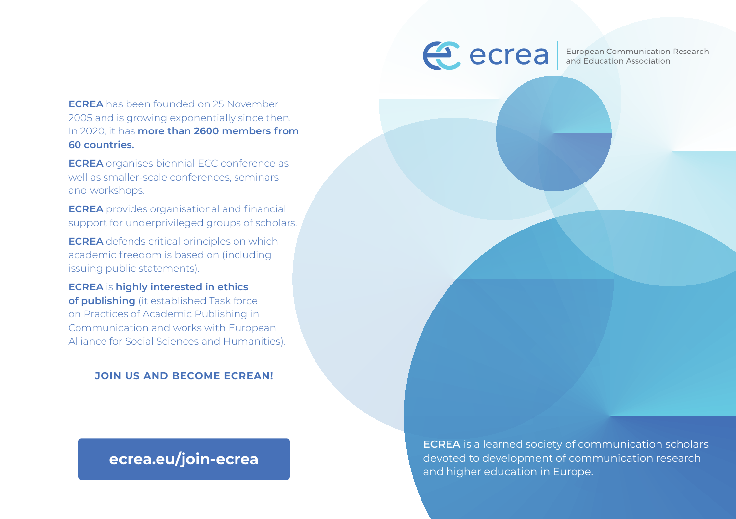**ECREA** has been founded on 25 November 2005 and is growing exponentially since then. In 2020, it has **more than 2600 members from 60 countries.** 

**ECREA** organises biennial ECC conference as well as smaller-scale conferences, seminars and workshops.

**ECREA** provides organisational and financial support for underprivileged groups of scholars.

**ECREA** defends critical principles on which academic freedom is based on (including issuing public statements).

**ECREA** is **highly interested in ethics of publishing** (it established Task force on Practices of Academic Publishing in Communication and works with European Alliance for Social Sciences and Humanities).

**JOIN US AND BECOME ECREAN!**

## **ecrea.eu/join-ecrea**



European Communication Research and Education Association

**ECREA** is a learned society of communication scholars devoted to development of communication research and higher education in Europe.